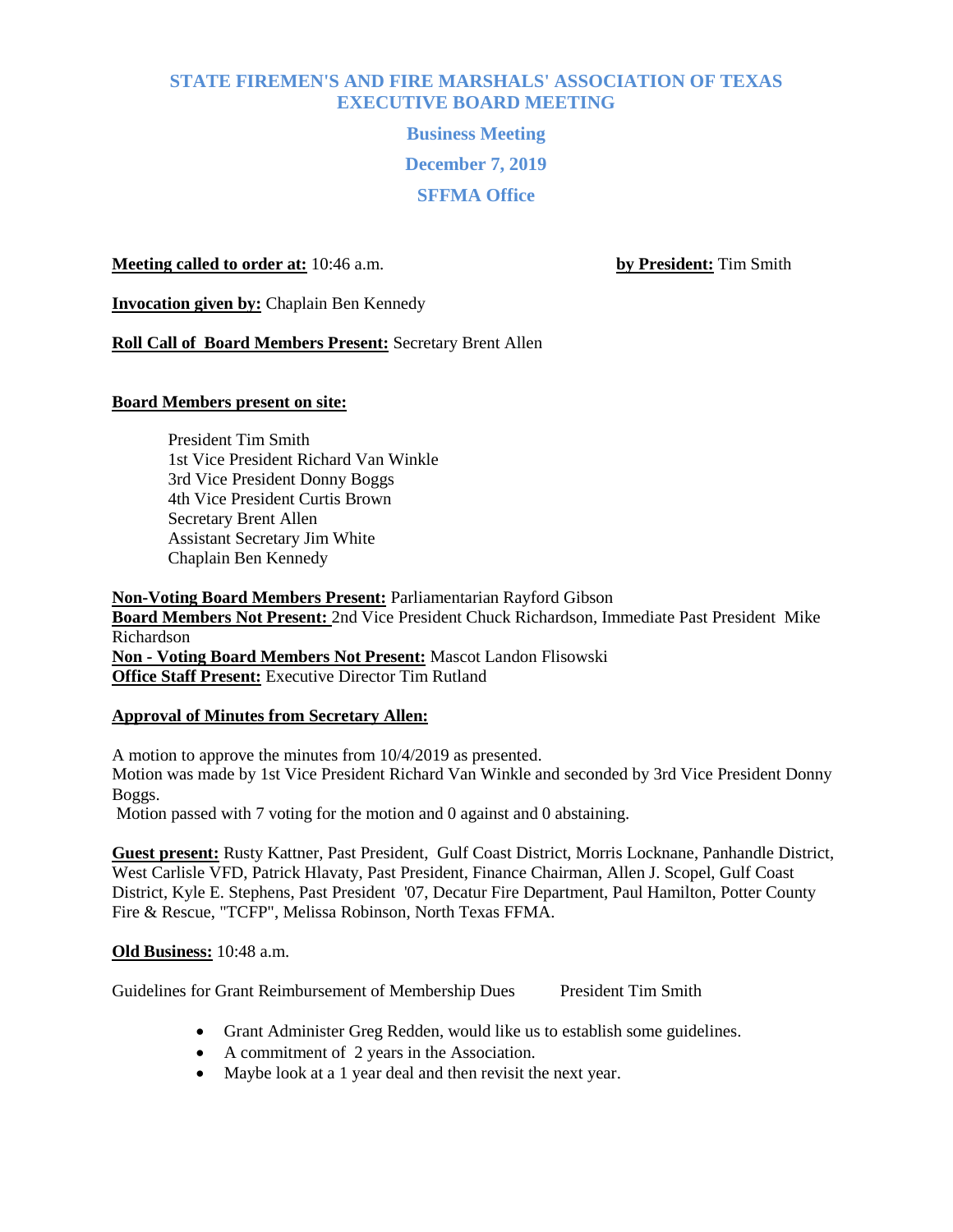# **STATE FIREMEN'S AND FIRE MARSHALS' ASSOCIATION OF TEXAS EXECUTIVE BOARD MEETING**

**Business Meeting**

# **December 7, 2019**

# **SFFMA Office**

**Meeting called to order at:** 10:46 a.m. **by President:** Tim Smith

**Invocation given by:** Chaplain Ben Kennedy

**Roll Call of Board Members Present:** Secretary Brent Allen

# **Board Members present on site:**

President Tim Smith 1st Vice President Richard Van Winkle 3rd Vice President Donny Boggs 4th Vice President Curtis Brown Secretary Brent Allen Assistant Secretary Jim White Chaplain Ben Kennedy

**Non-Voting Board Members Present:** Parliamentarian Rayford Gibson **Board Members Not Present:** 2nd Vice President Chuck Richardson, Immediate Past President Mike Richardson **Non - Voting Board Members Not Present:** Mascot Landon Flisowski **Office Staff Present:** Executive Director Tim Rutland

# **Approval of Minutes from Secretary Allen:**

A motion to approve the minutes from 10/4/2019 as presented. Motion was made by 1st Vice President Richard Van Winkle and seconded by 3rd Vice President Donny Boggs.

Motion passed with 7 voting for the motion and 0 against and 0 abstaining.

**Guest present:** Rusty Kattner, Past President, Gulf Coast District, Morris Locknane, Panhandle District, West Carlisle VFD, Patrick Hlavaty, Past President, Finance Chairman, Allen J. Scopel, Gulf Coast District, Kyle E. Stephens, Past President '07, Decatur Fire Department, Paul Hamilton, Potter County Fire & Rescue, "TCFP", Melissa Robinson, North Texas FFMA.

**Old Business:** 10:48 a.m.

Guidelines for Grant Reimbursement of Membership Dues President Tim Smith

- Grant Administer Greg Redden, would like us to establish some guidelines.
- A commitment of 2 years in the Association.
- Maybe look at a 1 year deal and then revisit the next year.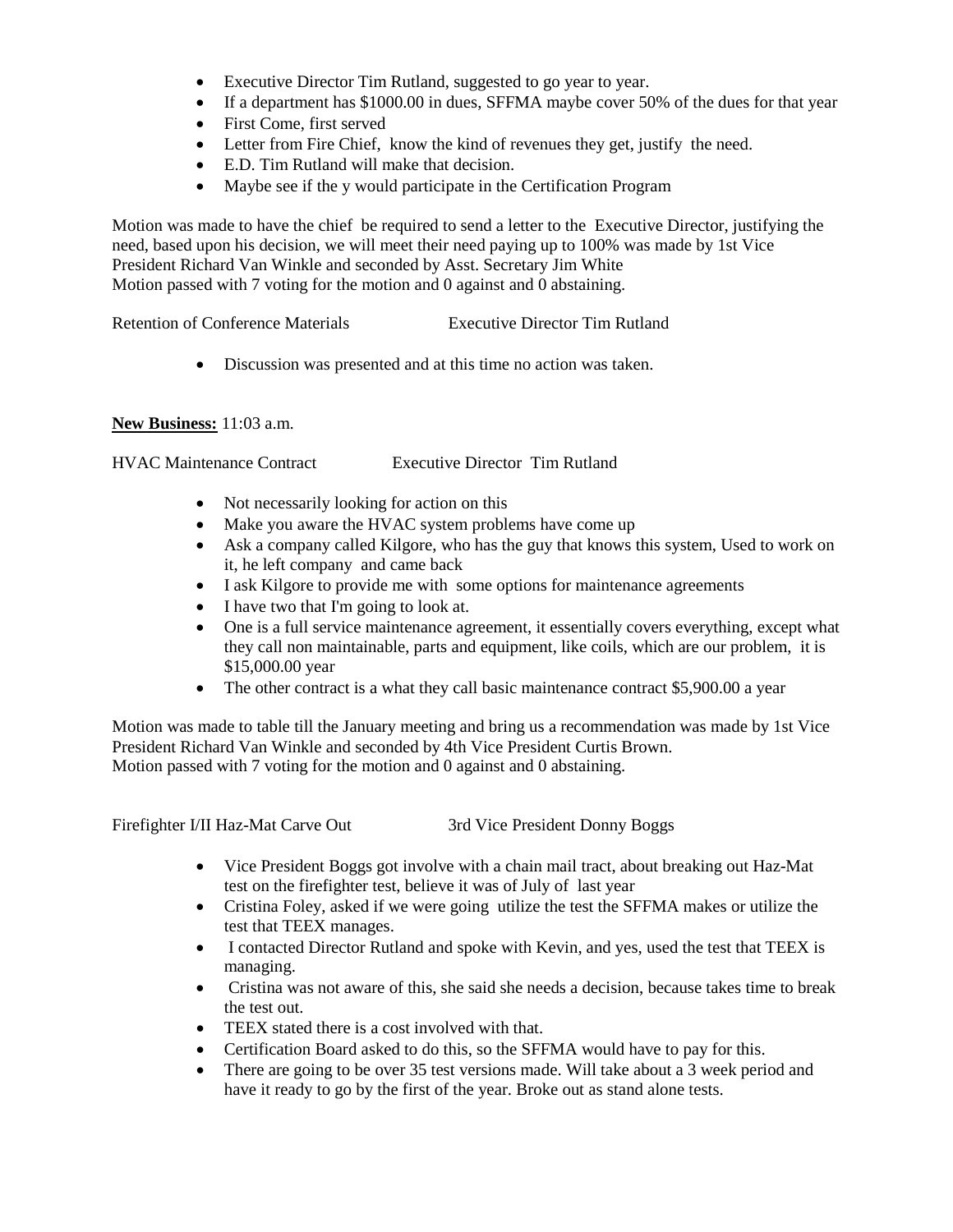- Executive Director Tim Rutland, suggested to go year to year.
- If a department has \$1000.00 in dues, SFFMA maybe cover 50% of the dues for that year
- First Come, first served
- Letter from Fire Chief, know the kind of revenues they get, justify the need.
- E.D. Tim Rutland will make that decision.
- Maybe see if the y would participate in the Certification Program

Motion was made to have the chief be required to send a letter to the Executive Director, justifying the need, based upon his decision, we will meet their need paying up to 100% was made by 1st Vice President Richard Van Winkle and seconded by Asst. Secretary Jim White Motion passed with 7 voting for the motion and 0 against and 0 abstaining.

Retention of Conference Materials Executive Director Tim Rutland

• Discussion was presented and at this time no action was taken.

# **New Business:** 11:03 a.m.

HVAC Maintenance Contract Executive Director Tim Rutland

- Not necessarily looking for action on this
- Make you aware the HVAC system problems have come up
- Ask a company called Kilgore, who has the guy that knows this system, Used to work on it, he left company and came back
- I ask Kilgore to provide me with some options for maintenance agreements
- I have two that I'm going to look at.
- One is a full service maintenance agreement, it essentially covers everything, except what they call non maintainable, parts and equipment, like coils, which are our problem, it is \$15,000.00 year
- The other contract is a what they call basic maintenance contract \$5,900.00 a year

Motion was made to table till the January meeting and bring us a recommendation was made by 1st Vice President Richard Van Winkle and seconded by 4th Vice President Curtis Brown. Motion passed with 7 voting for the motion and 0 against and 0 abstaining.

Firefighter I/II Haz-Mat Carve Out 3rd Vice President Donny Boggs

- Vice President Boggs got involve with a chain mail tract, about breaking out Haz-Mat test on the firefighter test, believe it was of July of last year
- Cristina Foley, asked if we were going utilize the test the SFFMA makes or utilize the test that TEEX manages.
- I contacted Director Rutland and spoke with Kevin, and yes, used the test that TEEX is managing.
- Cristina was not aware of this, she said she needs a decision, because takes time to break the test out.
- TEEX stated there is a cost involved with that.
- Certification Board asked to do this, so the SFFMA would have to pay for this.
- There are going to be over 35 test versions made. Will take about a 3 week period and have it ready to go by the first of the year. Broke out as stand alone tests.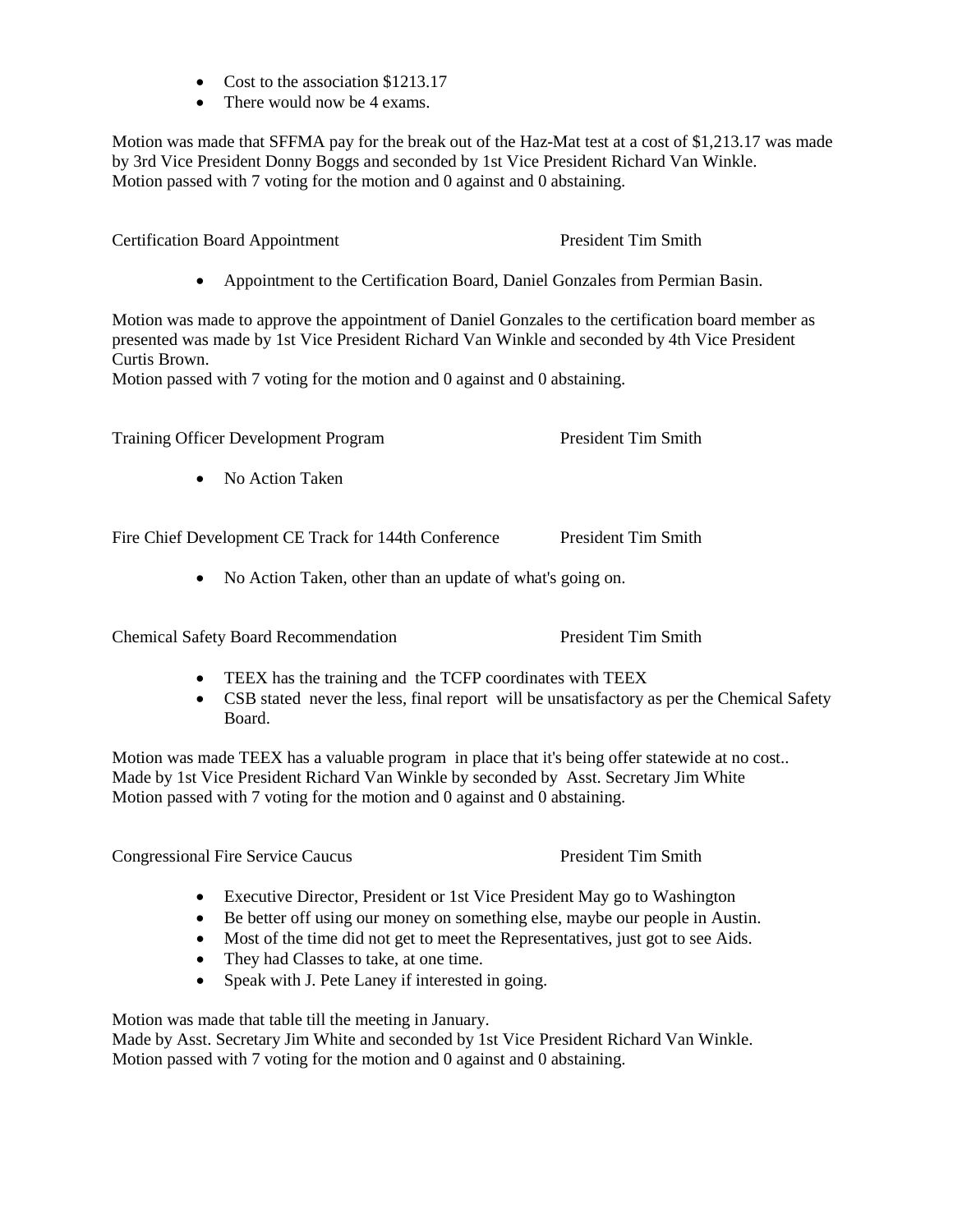- Cost to the association \$1213.17
- There would now be 4 exams.

Motion was made that SFFMA pay for the break out of the Haz-Mat test at a cost of \$1,213.17 was made by 3rd Vice President Donny Boggs and seconded by 1st Vice President Richard Van Winkle. Motion passed with 7 voting for the motion and 0 against and 0 abstaining.

Certification Board Appointment President Tim Smith

• Appointment to the Certification Board, Daniel Gonzales from Permian Basin.

Motion was made to approve the appointment of Daniel Gonzales to the certification board member as presented was made by 1st Vice President Richard Van Winkle and seconded by 4th Vice President Curtis Brown.

Motion passed with 7 voting for the motion and 0 against and 0 abstaining.

Training Officer Development Program President Tim Smith

• No Action Taken

Fire Chief Development CE Track for 144th Conference President Tim Smith

• No Action Taken, other than an update of what's going on.

Chemical Safety Board Recommendation President Tim Smith

- TEEX has the training and the TCFP coordinates with TEEX
- CSB stated never the less, final report will be unsatisfactory as per the Chemical Safety Board.

Motion was made TEEX has a valuable program in place that it's being offer statewide at no cost.. Made by 1st Vice President Richard Van Winkle by seconded by Asst. Secretary Jim White Motion passed with 7 voting for the motion and 0 against and 0 abstaining.

Congressional Fire Service Caucus President Tim Smith

- Executive Director, President or 1st Vice President May go to Washington
- Be better off using our money on something else, maybe our people in Austin.
- Most of the time did not get to meet the Representatives, just got to see Aids.
- They had Classes to take, at one time.
- Speak with J. Pete Laney if interested in going.

Motion was made that table till the meeting in January.

Made by Asst. Secretary Jim White and seconded by 1st Vice President Richard Van Winkle. Motion passed with 7 voting for the motion and 0 against and 0 abstaining.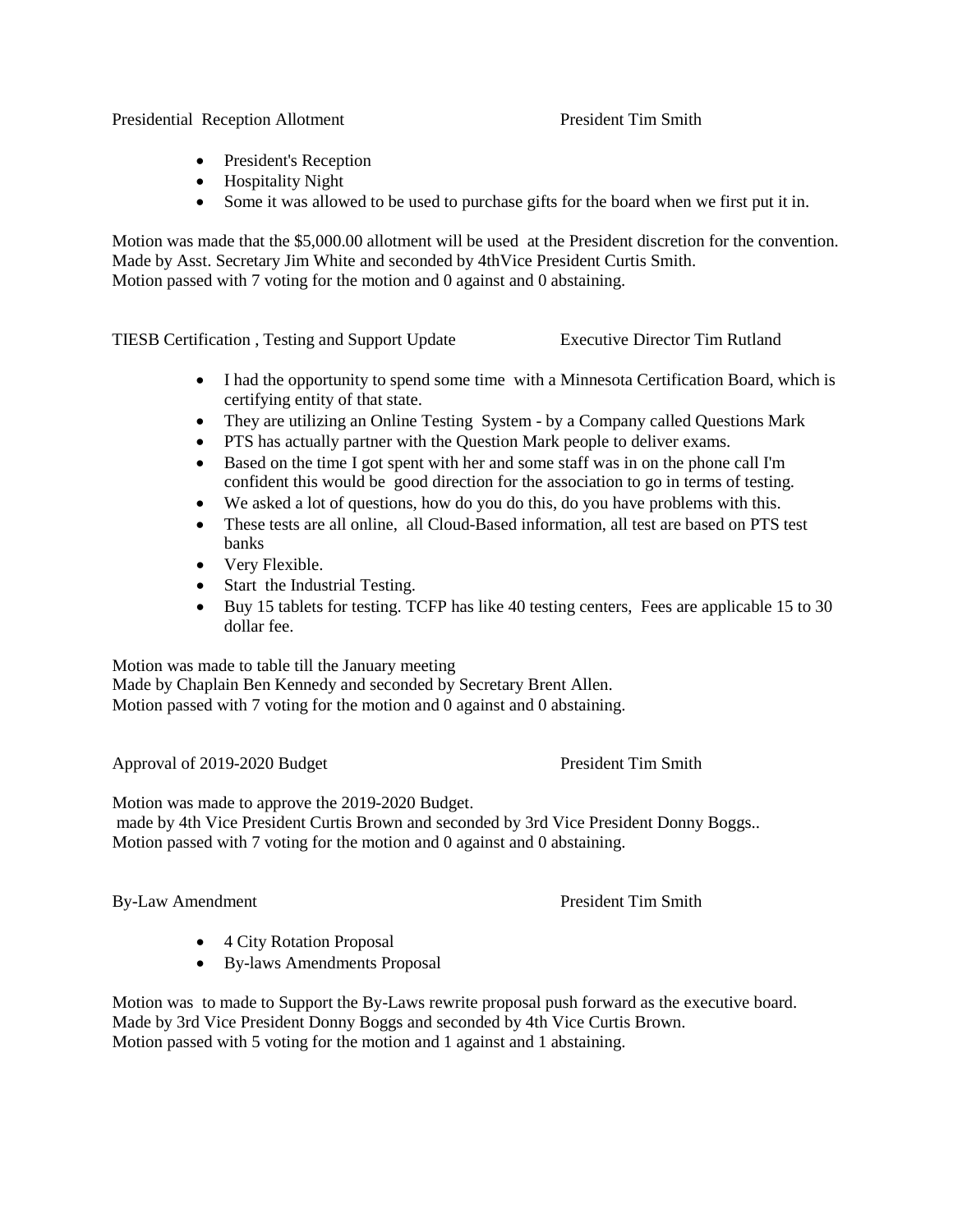Presidential Reception Allotment President Tim Smith

- President's Reception
- Hospitality Night
- Some it was allowed to be used to purchase gifts for the board when we first put it in.

Motion was made that the \$5,000.00 allotment will be used at the President discretion for the convention. Made by Asst. Secretary Jim White and seconded by 4thVice President Curtis Smith. Motion passed with 7 voting for the motion and 0 against and 0 abstaining.

TIESB Certification , Testing and Support Update Executive Director Tim Rutland

- I had the opportunity to spend some time with a Minnesota Certification Board, which is certifying entity of that state.
- They are utilizing an Online Testing System by a Company called Questions Mark
- PTS has actually partner with the Question Mark people to deliver exams.
- Based on the time I got spent with her and some staff was in on the phone call I'm confident this would be good direction for the association to go in terms of testing.
- We asked a lot of questions, how do you do this, do you have problems with this.
- These tests are all online, all Cloud-Based information, all test are based on PTS test banks
- Very Flexible.
- Start the Industrial Testing.
- Buy 15 tablets for testing. TCFP has like 40 testing centers, Fees are applicable 15 to 30 dollar fee.

Motion was made to table till the January meeting

Made by Chaplain Ben Kennedy and seconded by Secretary Brent Allen. Motion passed with 7 voting for the motion and 0 against and 0 abstaining.

Approval of 2019-2020 Budget President Tim Smith

Motion was made to approve the 2019-2020 Budget.

made by 4th Vice President Curtis Brown and seconded by 3rd Vice President Donny Boggs.. Motion passed with 7 voting for the motion and 0 against and 0 abstaining.

By-Law Amendment **President Tim Smith** 

- 4 City Rotation Proposal
- By-laws Amendments Proposal

Motion was to made to Support the By-Laws rewrite proposal push forward as the executive board. Made by 3rd Vice President Donny Boggs and seconded by 4th Vice Curtis Brown. Motion passed with 5 voting for the motion and 1 against and 1 abstaining.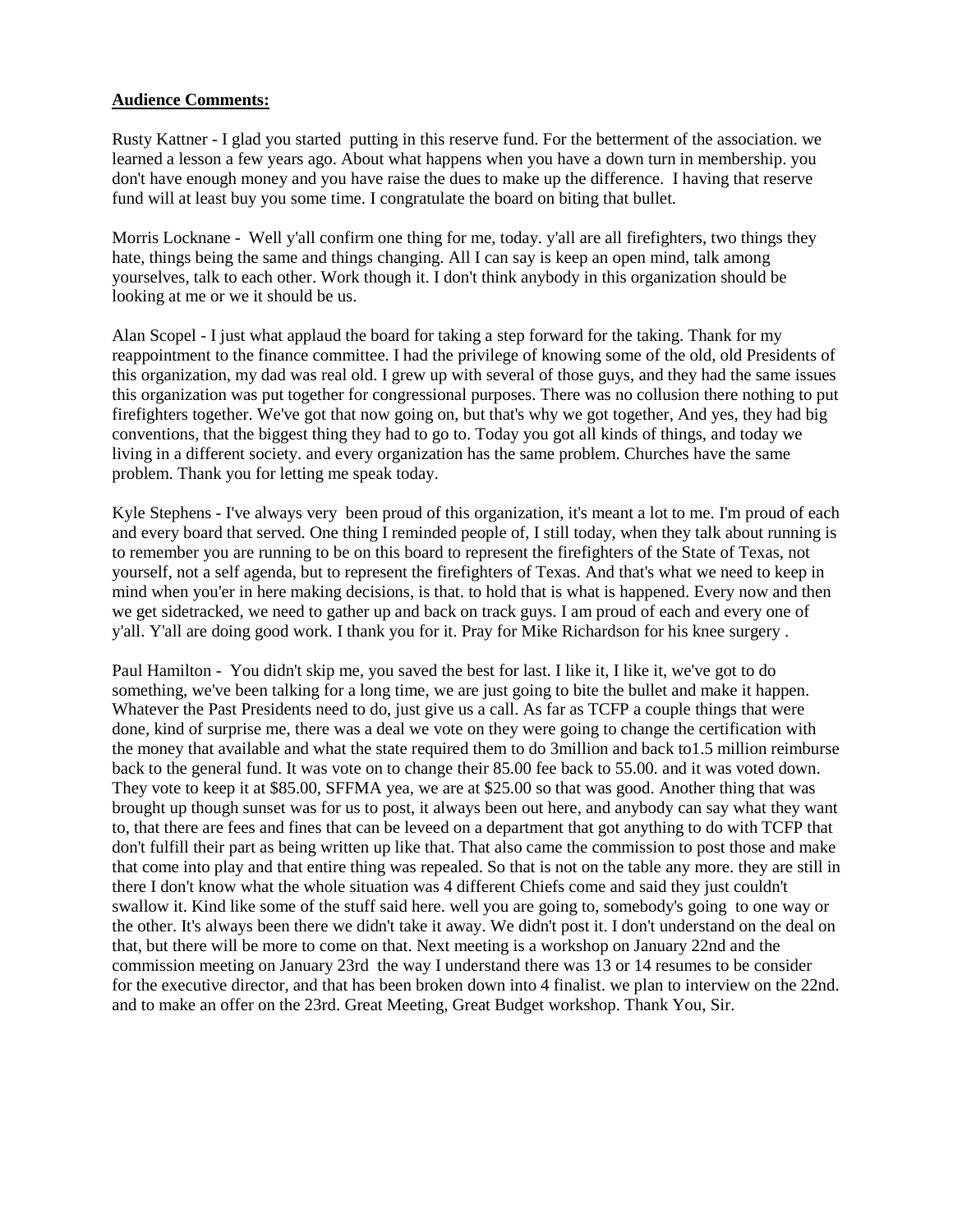## **Audience Comments:**

Rusty Kattner - I glad you started putting in this reserve fund. For the betterment of the association. we learned a lesson a few years ago. About what happens when you have a down turn in membership. you don't have enough money and you have raise the dues to make up the difference. I having that reserve fund will at least buy you some time. I congratulate the board on biting that bullet.

Morris Locknane - Well y'all confirm one thing for me, today. y'all are all firefighters, two things they hate, things being the same and things changing. All I can say is keep an open mind, talk among yourselves, talk to each other. Work though it. I don't think anybody in this organization should be looking at me or we it should be us.

Alan Scopel - I just what applaud the board for taking a step forward for the taking. Thank for my reappointment to the finance committee. I had the privilege of knowing some of the old, old Presidents of this organization, my dad was real old. I grew up with several of those guys, and they had the same issues this organization was put together for congressional purposes. There was no collusion there nothing to put firefighters together. We've got that now going on, but that's why we got together, And yes, they had big conventions, that the biggest thing they had to go to. Today you got all kinds of things, and today we living in a different society. and every organization has the same problem. Churches have the same problem. Thank you for letting me speak today.

Kyle Stephens - I've always very been proud of this organization, it's meant a lot to me. I'm proud of each and every board that served. One thing I reminded people of, I still today, when they talk about running is to remember you are running to be on this board to represent the firefighters of the State of Texas, not yourself, not a self agenda, but to represent the firefighters of Texas. And that's what we need to keep in mind when you'er in here making decisions, is that. to hold that is what is happened. Every now and then we get sidetracked, we need to gather up and back on track guys. I am proud of each and every one of y'all. Y'all are doing good work. I thank you for it. Pray for Mike Richardson for his knee surgery .

Paul Hamilton - You didn't skip me, you saved the best for last. I like it, I like it, we've got to do something, we've been talking for a long time, we are just going to bite the bullet and make it happen. Whatever the Past Presidents need to do, just give us a call. As far as TCFP a couple things that were done, kind of surprise me, there was a deal we vote on they were going to change the certification with the money that available and what the state required them to do 3million and back to1.5 million reimburse back to the general fund. It was vote on to change their 85.00 fee back to 55.00. and it was voted down. They vote to keep it at \$85.00, SFFMA yea, we are at \$25.00 so that was good. Another thing that was brought up though sunset was for us to post, it always been out here, and anybody can say what they want to, that there are fees and fines that can be leveed on a department that got anything to do with TCFP that don't fulfill their part as being written up like that. That also came the commission to post those and make that come into play and that entire thing was repealed. So that is not on the table any more. they are still in there I don't know what the whole situation was 4 different Chiefs come and said they just couldn't swallow it. Kind like some of the stuff said here. well you are going to, somebody's going to one way or the other. It's always been there we didn't take it away. We didn't post it. I don't understand on the deal on that, but there will be more to come on that. Next meeting is a workshop on January 22nd and the commission meeting on January 23rd the way I understand there was 13 or 14 resumes to be consider for the executive director, and that has been broken down into 4 finalist. we plan to interview on the 22nd. and to make an offer on the 23rd. Great Meeting, Great Budget workshop. Thank You, Sir.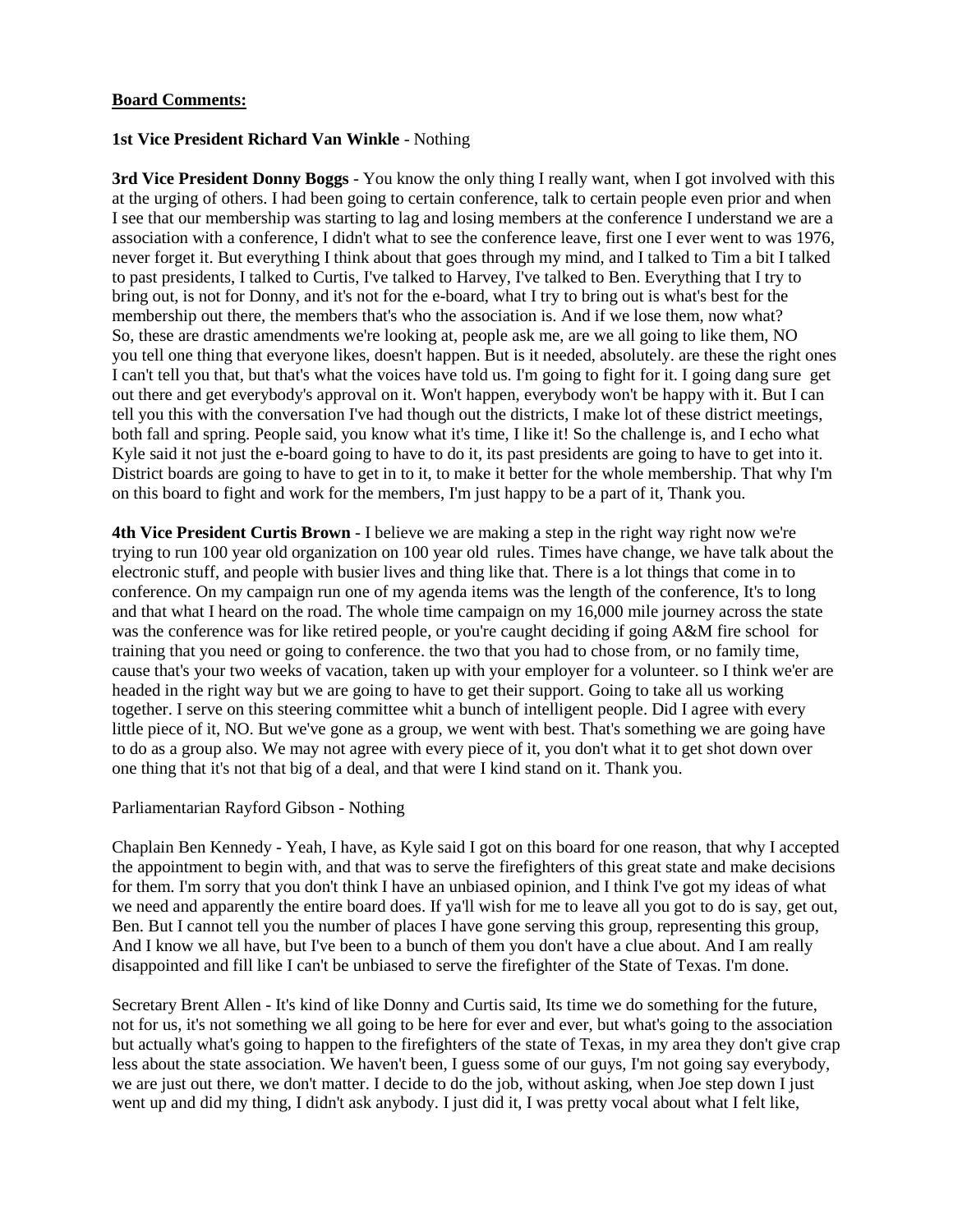## **Board Comments:**

## **1st Vice President Richard Van Winkle** - Nothing

**3rd Vice President Donny Boggs** - You know the only thing I really want, when I got involved with this at the urging of others. I had been going to certain conference, talk to certain people even prior and when I see that our membership was starting to lag and losing members at the conference I understand we are a association with a conference, I didn't what to see the conference leave, first one I ever went to was 1976, never forget it. But everything I think about that goes through my mind, and I talked to Tim a bit I talked to past presidents, I talked to Curtis, I've talked to Harvey, I've talked to Ben. Everything that I try to bring out, is not for Donny, and it's not for the e-board, what I try to bring out is what's best for the membership out there, the members that's who the association is. And if we lose them, now what? So, these are drastic amendments we're looking at, people ask me, are we all going to like them, NO you tell one thing that everyone likes, doesn't happen. But is it needed, absolutely. are these the right ones I can't tell you that, but that's what the voices have told us. I'm going to fight for it. I going dang sure get out there and get everybody's approval on it. Won't happen, everybody won't be happy with it. But I can tell you this with the conversation I've had though out the districts, I make lot of these district meetings, both fall and spring. People said, you know what it's time, I like it! So the challenge is, and I echo what Kyle said it not just the e-board going to have to do it, its past presidents are going to have to get into it. District boards are going to have to get in to it, to make it better for the whole membership. That why I'm on this board to fight and work for the members, I'm just happy to be a part of it, Thank you.

**4th Vice President Curtis Brown** - I believe we are making a step in the right way right now we're trying to run 100 year old organization on 100 year old rules. Times have change, we have talk about the electronic stuff, and people with busier lives and thing like that. There is a lot things that come in to conference. On my campaign run one of my agenda items was the length of the conference, It's to long and that what I heard on the road. The whole time campaign on my 16,000 mile journey across the state was the conference was for like retired people, or you're caught deciding if going A&M fire school for training that you need or going to conference. the two that you had to chose from, or no family time, cause that's your two weeks of vacation, taken up with your employer for a volunteer. so I think we'er are headed in the right way but we are going to have to get their support. Going to take all us working together. I serve on this steering committee whit a bunch of intelligent people. Did I agree with every little piece of it, NO. But we've gone as a group, we went with best. That's something we are going have to do as a group also. We may not agree with every piece of it, you don't what it to get shot down over one thing that it's not that big of a deal, and that were I kind stand on it. Thank you.

## Parliamentarian Rayford Gibson - Nothing

Chaplain Ben Kennedy - Yeah, I have, as Kyle said I got on this board for one reason, that why I accepted the appointment to begin with, and that was to serve the firefighters of this great state and make decisions for them. I'm sorry that you don't think I have an unbiased opinion, and I think I've got my ideas of what we need and apparently the entire board does. If ya'll wish for me to leave all you got to do is say, get out, Ben. But I cannot tell you the number of places I have gone serving this group, representing this group, And I know we all have, but I've been to a bunch of them you don't have a clue about. And I am really disappointed and fill like I can't be unbiased to serve the firefighter of the State of Texas. I'm done.

Secretary Brent Allen - It's kind of like Donny and Curtis said, Its time we do something for the future, not for us, it's not something we all going to be here for ever and ever, but what's going to the association but actually what's going to happen to the firefighters of the state of Texas, in my area they don't give crap less about the state association. We haven't been, I guess some of our guys, I'm not going say everybody, we are just out there, we don't matter. I decide to do the job, without asking, when Joe step down I just went up and did my thing, I didn't ask anybody. I just did it, I was pretty vocal about what I felt like,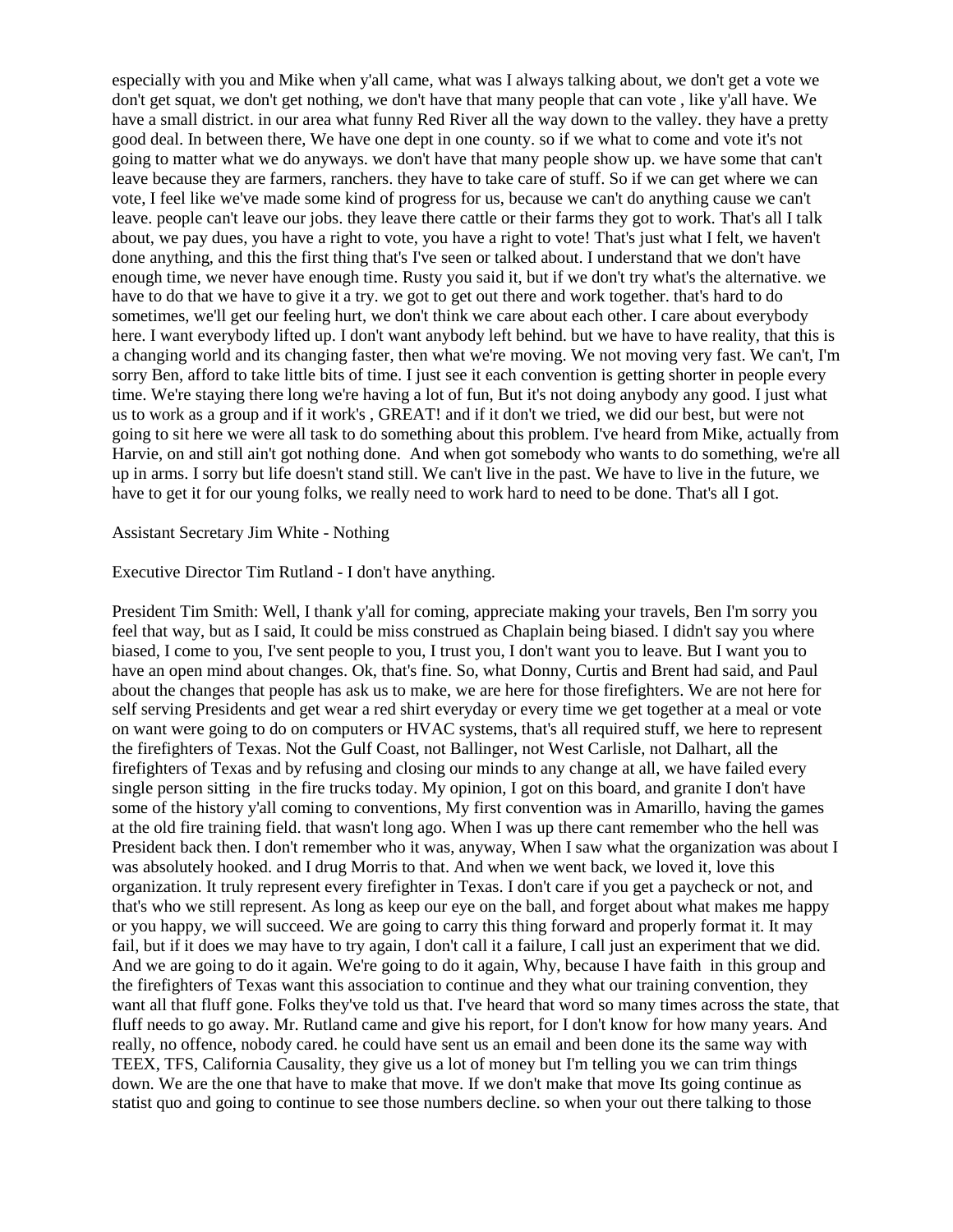especially with you and Mike when y'all came, what was I always talking about, we don't get a vote we don't get squat, we don't get nothing, we don't have that many people that can vote , like y'all have. We have a small district. in our area what funny Red River all the way down to the valley. they have a pretty good deal. In between there, We have one dept in one county. so if we what to come and vote it's not going to matter what we do anyways. we don't have that many people show up. we have some that can't leave because they are farmers, ranchers. they have to take care of stuff. So if we can get where we can vote, I feel like we've made some kind of progress for us, because we can't do anything cause we can't leave. people can't leave our jobs. they leave there cattle or their farms they got to work. That's all I talk about, we pay dues, you have a right to vote, you have a right to vote! That's just what I felt, we haven't done anything, and this the first thing that's I've seen or talked about. I understand that we don't have enough time, we never have enough time. Rusty you said it, but if we don't try what's the alternative. we have to do that we have to give it a try. we got to get out there and work together. that's hard to do sometimes, we'll get our feeling hurt, we don't think we care about each other. I care about everybody here. I want everybody lifted up. I don't want anybody left behind. but we have to have reality, that this is a changing world and its changing faster, then what we're moving. We not moving very fast. We can't, I'm sorry Ben, afford to take little bits of time. I just see it each convention is getting shorter in people every time. We're staying there long we're having a lot of fun, But it's not doing anybody any good. I just what us to work as a group and if it work's , GREAT! and if it don't we tried, we did our best, but were not going to sit here we were all task to do something about this problem. I've heard from Mike, actually from Harvie, on and still ain't got nothing done. And when got somebody who wants to do something, we're all up in arms. I sorry but life doesn't stand still. We can't live in the past. We have to live in the future, we have to get it for our young folks, we really need to work hard to need to be done. That's all I got.

## Assistant Secretary Jim White - Nothing

#### Executive Director Tim Rutland - I don't have anything.

President Tim Smith: Well, I thank y'all for coming, appreciate making your travels, Ben I'm sorry you feel that way, but as I said, It could be miss construed as Chaplain being biased. I didn't say you where biased, I come to you, I've sent people to you, I trust you, I don't want you to leave. But I want you to have an open mind about changes. Ok, that's fine. So, what Donny, Curtis and Brent had said, and Paul about the changes that people has ask us to make, we are here for those firefighters. We are not here for self serving Presidents and get wear a red shirt everyday or every time we get together at a meal or vote on want were going to do on computers or HVAC systems, that's all required stuff, we here to represent the firefighters of Texas. Not the Gulf Coast, not Ballinger, not West Carlisle, not Dalhart, all the firefighters of Texas and by refusing and closing our minds to any change at all, we have failed every single person sitting in the fire trucks today. My opinion, I got on this board, and granite I don't have some of the history y'all coming to conventions, My first convention was in Amarillo, having the games at the old fire training field. that wasn't long ago. When I was up there cant remember who the hell was President back then. I don't remember who it was, anyway, When I saw what the organization was about I was absolutely hooked. and I drug Morris to that. And when we went back, we loved it, love this organization. It truly represent every firefighter in Texas. I don't care if you get a paycheck or not, and that's who we still represent. As long as keep our eye on the ball, and forget about what makes me happy or you happy, we will succeed. We are going to carry this thing forward and properly format it. It may fail, but if it does we may have to try again, I don't call it a failure, I call just an experiment that we did. And we are going to do it again. We're going to do it again, Why, because I have faith in this group and the firefighters of Texas want this association to continue and they what our training convention, they want all that fluff gone. Folks they've told us that. I've heard that word so many times across the state, that fluff needs to go away. Mr. Rutland came and give his report, for I don't know for how many years. And really, no offence, nobody cared. he could have sent us an email and been done its the same way with TEEX, TFS, California Causality, they give us a lot of money but I'm telling you we can trim things down. We are the one that have to make that move. If we don't make that move Its going continue as statist quo and going to continue to see those numbers decline. so when your out there talking to those